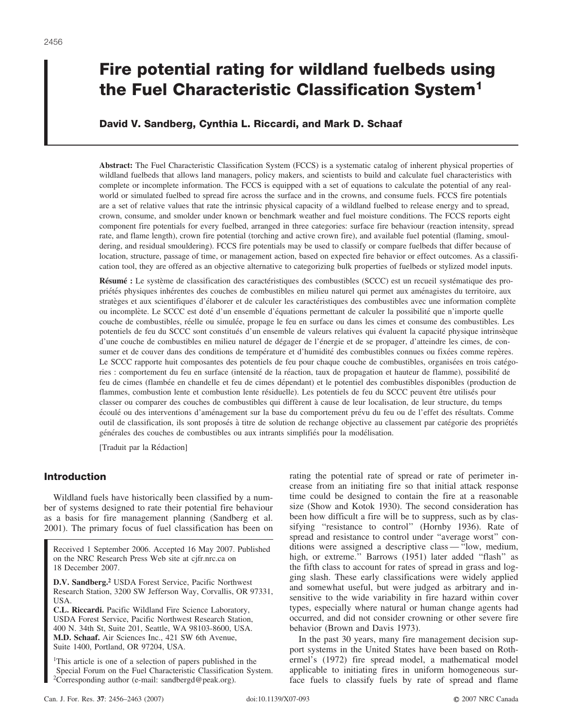# **Fire potential rating for wildland fuelbeds using the Fuel Characteristic Classification System1**

# **David V. Sandberg, Cynthia L. Riccardi, and Mark D. Schaaf**

**Abstract:** The Fuel Characteristic Classification System (FCCS) is a systematic catalog of inherent physical properties of wildland fuelbeds that allows land managers, policy makers, and scientists to build and calculate fuel characteristics with complete or incomplete information. The FCCS is equipped with a set of equations to calculate the potential of any realworld or simulated fuelbed to spread fire across the surface and in the crowns, and consume fuels. FCCS fire potentials are a set of relative values that rate the intrinsic physical capacity of a wildland fuelbed to release energy and to spread, crown, consume, and smolder under known or benchmark weather and fuel moisture conditions. The FCCS reports eight component fire potentials for every fuelbed, arranged in three categories: surface fire behaviour (reaction intensity, spread rate, and flame length), crown fire potential (torching and active crown fire), and available fuel potential (flaming, smouldering, and residual smouldering). FCCS fire potentials may be used to classify or compare fuelbeds that differ because of location, structure, passage of time, or management action, based on expected fire behavior or effect outcomes. As a classification tool, they are offered as an objective alternative to categorizing bulk properties of fuelbeds or stylized model inputs.

**Résumé :** Le système de classification des caractéristiques des combustibles (SCCC) est un recueil systématique des propriétés physiques inhérentes des couches de combustibles en milieu naturel qui permet aux aménagistes du territoire, aux stratèges et aux scientifiques d'élaborer et de calculer les caractéristiques des combustibles avec une information complète ou incomplète. Le SCCC est doté d'un ensemble d'équations permettant de calculer la possibilité que n'importe quelle couche de combustibles, réelle ou simulée, propage le feu en surface ou dans les cimes et consume des combustibles. Les potentiels de feu du SCCC sont constitués d'un ensemble de valeurs relatives qui évaluent la capacité physique intrinsèque d'une couche de combustibles en milieu naturel de dégager de l'énergie et de se propager, d'atteindre les cimes, de consumer et de couver dans des conditions de température et d'humidité des combustibles connues ou fixées comme repères. Le SCCC rapporte huit composantes des potentiels de feu pour chaque couche de combustibles, organisées en trois catégories : comportement du feu en surface (intensité de la réaction, taux de propagation et hauteur de flamme), possibilité de feu de cimes (flambée en chandelle et feu de cimes dépendant) et le potentiel des combustibles disponibles (production de flammes, combustion lente et combustion lente résiduelle). Les potentiels de feu du SCCC peuvent être utilisés pour classer ou comparer des couches de combustibles qui diffèrent à cause de leur localisation, de leur structure, du temps écoulé ou des interventions d'aménagement sur la base du comportement prévu du feu ou de l'effet des résultats. Comme outil de classification, ils sont proposés à titre de solution de rechange objective au classement par catégorie des propriétés générales des couches de combustibles ou aux intrants simplifiés pour la modélisation.

[Traduit par la Rédaction]

## **Introduction**

Wildland fuels have historically been classified by a number of systems designed to rate their potential fire behaviour as a basis for fire management planning (Sandberg et al. 2001). The primary focus of fuel classification has been on

**D.V. Sandberg.2** USDA Forest Service, Pacific Northwest Research Station, 3200 SW Jefferson Way, Corvallis, OR 97331, USA.

**C.L. Riccardi.** Pacific Wildland Fire Science Laboratory, USDA Forest Service, Pacific Northwest Research Station, 400 N. 34th St, Suite 201, Seattle, WA 98103-8600, USA. **M.D. Schaaf.** Air Sciences Inc., 421 SW 6th Avenue, Suite 1400, Portland, OR 97204, USA.

<sup>1</sup>This article is one of a selection of papers published in the Special Forum on the Fuel Characteristic Classification System. <sup>2</sup>Corresponding author (e-mail: sandbergd@peak.org).

rating the potential rate of spread or rate of perimeter increase from an initiating fire so that initial attack response time could be designed to contain the fire at a reasonable size (Show and Kotok 1930). The second consideration has been how difficult a fire will be to suppress, such as by classifying ''resistance to control'' (Hornby 1936). Rate of spread and resistance to control under ''average worst'' conditions were assigned a descriptive class — ''low, medium, high, or extreme." Barrows (1951) later added "flash" as the fifth class to account for rates of spread in grass and logging slash. These early classifications were widely applied and somewhat useful, but were judged as arbitrary and insensitive to the wide variability in fire hazard within cover types, especially where natural or human change agents had occurred, and did not consider crowning or other severe fire behavior (Brown and Davis 1973).

In the past 30 years, many fire management decision support systems in the United States have been based on Rothermel's (1972) fire spread model, a mathematical model applicable to initiating fires in uniform homogeneous surface fuels to classify fuels by rate of spread and flame

Received 1 September 2006. Accepted 16 May 2007. Published on the NRC Research Press Web site at cjfr.nrc.ca on 18 December 2007.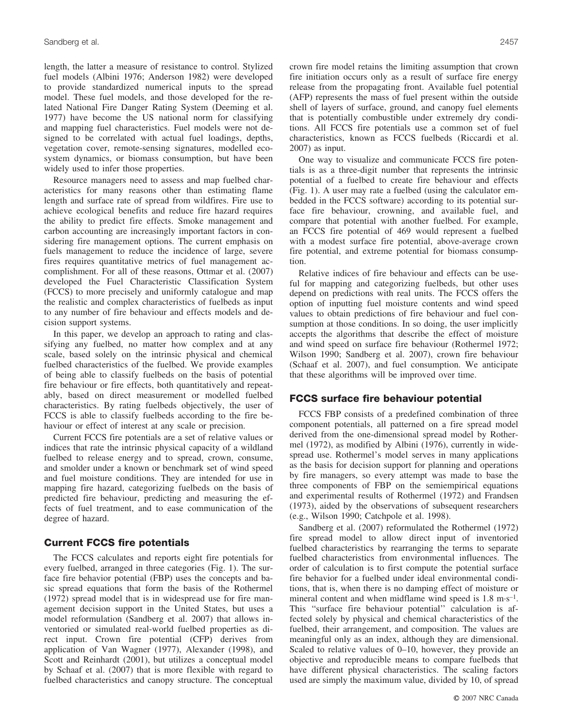length, the latter a measure of resistance to control. Stylized fuel models (Albini 1976; Anderson 1982) were developed to provide standardized numerical inputs to the spread model. These fuel models, and those developed for the related National Fire Danger Rating System (Deeming et al. 1977) have become the US national norm for classifying and mapping fuel characteristics. Fuel models were not designed to be correlated with actual fuel loadings, depths, vegetation cover, remote-sensing signatures, modelled ecosystem dynamics, or biomass consumption, but have been widely used to infer those properties.

Resource managers need to assess and map fuelbed characteristics for many reasons other than estimating flame length and surface rate of spread from wildfires. Fire use to achieve ecological benefits and reduce fire hazard requires the ability to predict fire effects. Smoke management and carbon accounting are increasingly important factors in considering fire management options. The current emphasis on fuels management to reduce the incidence of large, severe fires requires quantitative metrics of fuel management accomplishment. For all of these reasons, Ottmar et al. (2007) developed the Fuel Characteristic Classification System (FCCS) to more precisely and uniformly catalogue and map the realistic and complex characteristics of fuelbeds as input to any number of fire behaviour and effects models and decision support systems.

In this paper, we develop an approach to rating and classifying any fuelbed, no matter how complex and at any scale, based solely on the intrinsic physical and chemical fuelbed characteristics of the fuelbed. We provide examples of being able to classify fuelbeds on the basis of potential fire behaviour or fire effects, both quantitatively and repeatably, based on direct measurement or modelled fuelbed characteristics. By rating fuelbeds objectively, the user of FCCS is able to classify fuelbeds according to the fire behaviour or effect of interest at any scale or precision.

Current FCCS fire potentials are a set of relative values or indices that rate the intrinsic physical capacity of a wildland fuelbed to release energy and to spread, crown, consume, and smolder under a known or benchmark set of wind speed and fuel moisture conditions. They are intended for use in mapping fire hazard, categorizing fuelbeds on the basis of predicted fire behaviour, predicting and measuring the effects of fuel treatment, and to ease communication of the degree of hazard.

## **Current FCCS fire potentials**

The FCCS calculates and reports eight fire potentials for every fuelbed, arranged in three categories (Fig. 1). The surface fire behavior potential (FBP) uses the concepts and basic spread equations that form the basis of the Rothermel (1972) spread model that is in widespread use for fire management decision support in the United States, but uses a model reformulation (Sandberg et al. 2007) that allows inventoried or simulated real-world fuelbed properties as direct input. Crown fire potential (CFP) derives from application of Van Wagner (1977), Alexander (1998), and Scott and Reinhardt (2001), but utilizes a conceptual model by Schaaf et al. (2007) that is more flexible with regard to fuelbed characteristics and canopy structure. The conceptual crown fire model retains the limiting assumption that crown fire initiation occurs only as a result of surface fire energy release from the propagating front. Available fuel potential (AFP) represents the mass of fuel present within the outside shell of layers of surface, ground, and canopy fuel elements that is potentially combustible under extremely dry conditions. All FCCS fire potentials use a common set of fuel characteristics, known as FCCS fuelbeds (Riccardi et al. 2007) as input.

One way to visualize and communicate FCCS fire potentials is as a three-digit number that represents the intrinsic potential of a fuelbed to create fire behaviour and effects (Fig. 1). A user may rate a fuelbed (using the calculator embedded in the FCCS software) according to its potential surface fire behaviour, crowning, and available fuel, and compare that potential with another fuelbed. For example, an FCCS fire potential of 469 would represent a fuelbed with a modest surface fire potential, above-average crown fire potential, and extreme potential for biomass consumption.

Relative indices of fire behaviour and effects can be useful for mapping and categorizing fuelbeds, but other uses depend on predictions with real units. The FCCS offers the option of inputting fuel moisture contents and wind speed values to obtain predictions of fire behaviour and fuel consumption at those conditions. In so doing, the user implicitly accepts the algorithms that describe the effect of moisture and wind speed on surface fire behaviour (Rothermel 1972; Wilson 1990; Sandberg et al. 2007), crown fire behaviour (Schaaf et al. 2007), and fuel consumption. We anticipate that these algorithms will be improved over time.

# **FCCS surface fire behaviour potential**

FCCS FBP consists of a predefined combination of three component potentials, all patterned on a fire spread model derived from the one-dimensional spread model by Rothermel (1972), as modified by Albini (1976), currently in widespread use. Rothermel's model serves in many applications as the basis for decision support for planning and operations by fire managers, so every attempt was made to base the three components of FBP on the semiempirical equations and experimental results of Rothermel (1972) and Frandsen (1973), aided by the observations of subsequent researchers (e.g., Wilson 1990; Catchpole et al. 1998).

Sandberg et al. (2007) reformulated the Rothermel (1972) fire spread model to allow direct input of inventoried fuelbed characteristics by rearranging the terms to separate fuelbed characteristics from environmental influences. The order of calculation is to first compute the potential surface fire behavior for a fuelbed under ideal environmental conditions, that is, when there is no damping effect of moisture or mineral content and when midflame wind speed is  $1.8 \text{ m} \cdot \text{s}^{-1}$ . This ''surface fire behaviour potential'' calculation is affected solely by physical and chemical characteristics of the fuelbed, their arrangement, and composition. The values are meaningful only as an index, although they are dimensional. Scaled to relative values of 0–10, however, they provide an objective and reproducible means to compare fuelbeds that have different physical characteristics. The scaling factors used are simply the maximum value, divided by 10, of spread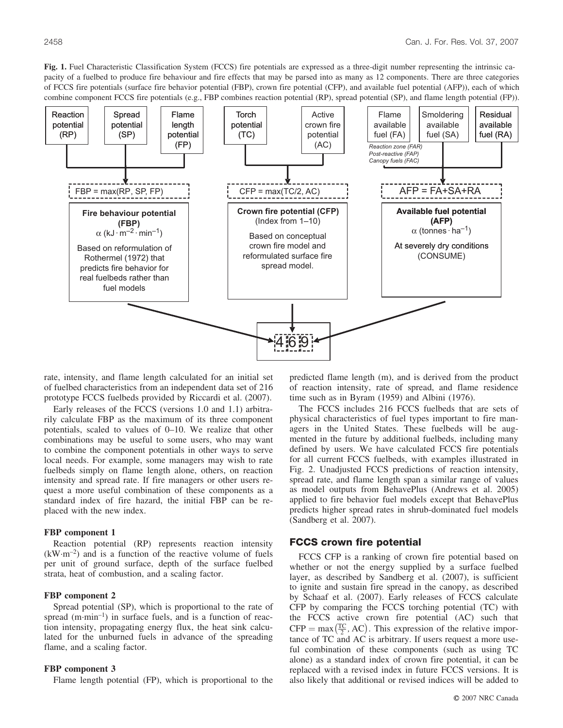**Fig. 1.** Fuel Characteristic Classification System (FCCS) fire potentials are expressed as a three-digit number representing the intrinsic capacity of a fuelbed to produce fire behaviour and fire effects that may be parsed into as many as 12 components. There are three categories of FCCS fire potentials (surface fire behavior potential (FBP), crown fire potential (CFP), and available fuel potential (AFP)), each of which combine component FCCS fire potentials (e.g., FBP combines reaction potential (RP), spread potential (SP), and flame length potential (FP)).



rate, intensity, and flame length calculated for an initial set of fuelbed characteristics from an independent data set of 216 prototype FCCS fuelbeds provided by Riccardi et al. (2007).

Early releases of the FCCS (versions 1.0 and 1.1) arbitrarily calculate FBP as the maximum of its three component potentials, scaled to values of 0–10. We realize that other combinations may be useful to some users, who may want to combine the component potentials in other ways to serve local needs. For example, some managers may wish to rate fuelbeds simply on flame length alone, others, on reaction intensity and spread rate. If fire managers or other users request a more useful combination of these components as a standard index of fire hazard, the initial FBP can be replaced with the new index.

#### **FBP component 1**

Reaction potential (RP) represents reaction intensity  $(kW·m<sup>-2</sup>)$  and is a function of the reactive volume of fuels per unit of ground surface, depth of the surface fuelbed strata, heat of combustion, and a scaling factor.

#### **FBP component 2**

Spread potential (SP), which is proportional to the rate of spread  $(m\cdot min^{-1})$  in surface fuels, and is a function of reaction intensity, propagating energy flux, the heat sink calculated for the unburned fuels in advance of the spreading flame, and a scaling factor.

#### **FBP component 3**

Flame length potential (FP), which is proportional to the

predicted flame length (m), and is derived from the product of reaction intensity, rate of spread, and flame residence time such as in Byram (1959) and Albini (1976).

The FCCS includes 216 FCCS fuelbeds that are sets of physical characteristics of fuel types important to fire managers in the United States. These fuelbeds will be augmented in the future by additional fuelbeds, including many defined by users. We have calculated FCCS fire potentials for all current FCCS fuelbeds, with examples illustrated in Fig. 2. Unadjusted FCCS predictions of reaction intensity, spread rate, and flame length span a similar range of values as model outputs from BehavePlus (Andrews et al. 2005) applied to fire behavior fuel models except that BehavePlus predicts higher spread rates in shrub-dominated fuel models (Sandberg et al. 2007).

## **FCCS crown fire potential**

FCCS CFP is a ranking of crown fire potential based on whether or not the energy supplied by a surface fuelbed layer, as described by Sandberg et al. (2007), is sufficient to ignite and sustain fire spread in the canopy, as described by Schaaf et al. (2007). Early releases of FCCS calculate CFP by comparing the FCCS torching potential (TC) with the FCCS active crown fire potential (AC) such that  $CFP = \max(\frac{TC}{2}, AC)$ . This expression of the relative importance of TC and AC is arbitrary. If users request a more useful combination of these components (such as using TC alone) as a standard index of crown fire potential, it can be replaced with a revised index in future FCCS versions. It is also likely that additional or revised indices will be added to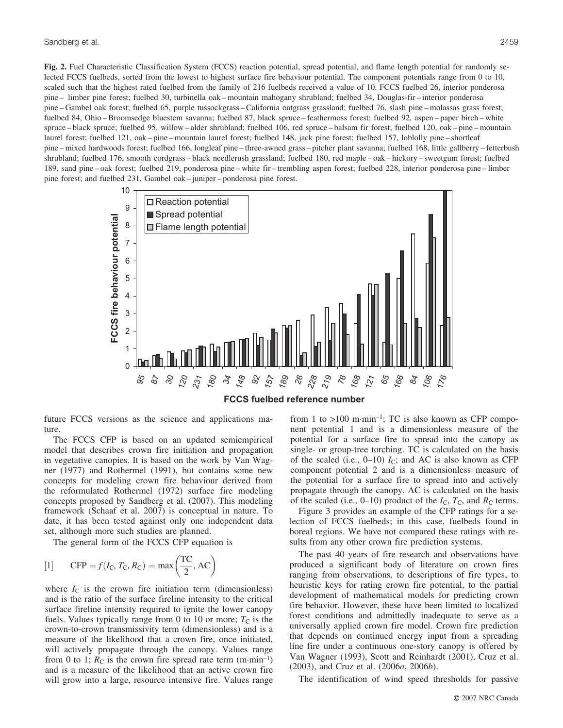**Fig. 2.** Fuel Characteristic Classification System (FCCS) reaction potential, spread potential, and flame length potential for randomly selected FCCS fuelbeds, sorted from the lowest to highest surface fire behaviour potential. The component potentials range from 0 to 10, scaled such that the highest rated fuelbed from the family of 216 fuelbeds received a value of 10. FCCS fuelbed 26, interior ponderosa pine – limber pine forest; fuelbed 30, turbinella oak – mountain mahogany shrubland; fuelbed 34, Douglas-fir – interior ponderosa pine – Gambel oak forest; fuelbed 65, purple tussockgrass – California oatgrass grassland; fuelbed 76, slash pine – molassas grass forest; fuelbed 84, Ohio – Broomsedge bluestem savanna; fuelbed 87, black spruce – feathermoss forest; fuelbed 92, aspen – paper birch – white spruce – black spruce; fuelbed 95, willow – alder shrubland; fuelbed 106, red spruce – balsam fir forest; fuelbed 120, oak – pine – mountain laurel forest; fuelbed 121, oak – pine – mountain laurel forest; fuelbed 148, jack pine forest; fuelbed 157, loblolly pine – shortleaf pine – mixed hardwoods forest; fuelbed 166, longleaf pine – three-awned grass – pitcher plant savanna; fuelbed 168, little gallberry – fetterbush shrubland; fuelbed 176, smooth cordgrass – black needlerush grassland; fuelbed 180, red maple – oak – hickory – sweetgum forest; fuelbed 189, sand pine – oak forest; fuelbed 219, ponderosa pine – white fir – trembling aspen forest; fuelbed 228, interior ponderosa pine – limber pine forest; and fuelbed 231, Gambel oak – juniper – ponderosa pine forest.



future FCCS versions as the science and applications mature.

The FCCS CFP is based on an updated semiempirical model that describes crown fire initiation and propagation in vegetative canopies. It is based on the work by Van Wagner (1977) and Rothermel (1991), but contains some new concepts for modeling crown fire behaviour derived from the reformulated Rothermel (1972) surface fire modeling concepts proposed by Sandberg et al. (2007). This modeling framework (Schaaf et al. 2007) is conceptual in nature. To date, it has been tested against only one independent data set, although more such studies are planned.

The general form of the FCCS CFP equation is

$$
[1] \qquad \text{CFP} = f(I_{\text{C}}, T_{\text{C}}, R_{\text{C}}) = \max\left(\frac{\text{TC}}{2}, \text{AC}\right)
$$

where  $I_{\rm C}$  is the crown fire initiation term (dimensionless) and is the ratio of the surface fireline intensity to the critical surface fireline intensity required to ignite the lower canopy fuels. Values typically range from 0 to 10 or more;  $T<sub>C</sub>$  is the crown-to-crown transmissivity term (dimensionless) and is a measure of the likelihood that a crown fire, once initiated, will actively propagate through the canopy. Values range from 0 to 1;  $R_C$  is the crown fire spread rate term (m·min<sup>-1</sup>) and is a measure of the likelihood that an active crown fire will grow into a large, resource intensive fire. Values range from 1 to  $>100$  m·min<sup>-1</sup>; TC is also known as CFP component potential 1 and is a dimensionless measure of the potential for a surface fire to spread into the canopy as single- or group-tree torching. TC is calculated on the basis of the scaled (i.e.,  $0-10$ )  $I_C$ ; and AC is also known as CFP component potential 2 and is a dimensionless measure of the potential for a surface fire to spread into and actively propagate through the canopy. AC is calculated on the basis of the scaled (i.e.,  $0-10$ ) product of the  $I_C$ ,  $T_C$ , and  $R_C$  terms.

Figure 3 provides an example of the CFP ratings for a selection of FCCS fuelbeds; in this case, fuelbeds found in boreal regions. We have not compared these ratings with results from any other crown fire prediction systems.

The past 40 years of fire research and observations have produced a significant body of literature on crown fires ranging from observations, to descriptions of fire types, to heuristic keys for rating crown fire potential, to the partial development of mathematical models for predicting crown fire behavior. However, these have been limited to localized forest conditions and admittedly inadequate to serve as a universally applied crown fire model. Crown fire prediction that depends on continued energy input from a spreading line fire under a continuous one-story canopy is offered by Van Wagner (1993), Scott and Reinhardt (2001), Cruz et al. (2003), and Cruz et al. (2006*a*, 2006*b*).

The identification of wind speed thresholds for passive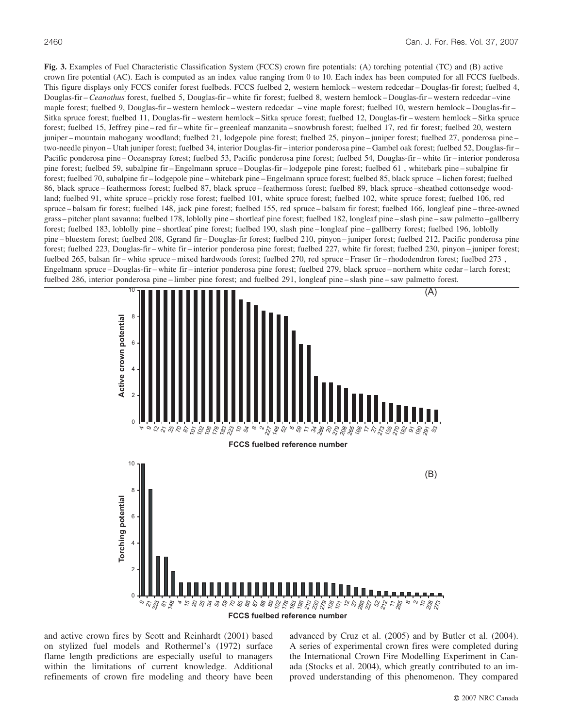**Fig. 3.** Examples of Fuel Characteristic Classification System (FCCS) crown fire potentials: (A) torching potential (TC) and (B) active crown fire potential (AC). Each is computed as an index value ranging from 0 to 10. Each index has been computed for all FCCS fuelbeds. This figure displays only FCCS conifer forest fuelbeds. FCCS fuelbed 2, western hemlock – western redcedar – Douglas-fir forest; fuelbed 4, Douglas-fir – *Ceanothus* forest, fuelbed 5, Douglas-fir – white fir forest; fuelbed 8, western hemlock – Douglas-fir – western redcedar –vine maple forest; fuelbed 9, Douglas-fir – western hemlock – western redcedar – vine maple forest; fuelbed 10, western hemlock – Douglas-fir – Sitka spruce forest; fuelbed 11, Douglas-fir – western hemlock – Sitka spruce forest; fuelbed 12, Douglas-fir – western hemlock – Sitka spruce forest; fuelbed 15, Jeffrey pine – red fir – white fir – greenleaf manzanita – snowbrush forest; fuelbed 17, red fir forest; fuelbed 20, western juniper – mountain mahogany woodland; fuelbed 21, lodgepole pine forest; fuelbed 25, pinyon – juniper forest; fuelbed 27, ponderosa pine – two-needle pinyon – Utah juniper forest; fuelbed 34, interior Douglas-fir – interior ponderosa pine – Gambel oak forest; fuelbed 52, Douglas-fir – Pacific ponderosa pine – Oceanspray forest; fuelbed 53, Pacific ponderosa pine forest; fuelbed 54, Douglas-fir – white fir – interior ponderosa pine forest; fuelbed 59, subalpine fir – Engelmann spruce – Douglas-fir – lodgepole pine forest; fuelbed 61 , whitebark pine – subalpine fir forest; fuelbed 70, subalpine fir – lodgepole pine – whitebark pine – Engelmann spruce forest; fuelbed 85, black spruce – lichen forest; fuelbed 86, black spruce – feathermoss forest; fuelbed 87, black spruce – feathermoss forest; fuelbed 89, black spruce –sheathed cottonsedge woodland; fuelbed 91, white spruce – prickly rose forest; fuelbed 101, white spruce forest; fuelbed 102, white spruce forest; fuelbed 106, red spruce – balsam fir forest; fuelbed 148, jack pine forest; fuelbed 155, red spruce – balsam fir forest; fuelbed 166, longleaf pine – three-awned grass – pitcher plant savanna; fuelbed 178, loblolly pine – shortleaf pine forest; fuelbed 182, longleaf pine – slash pine – saw palmetto –gallberry forest; fuelbed 183, loblolly pine – shortleaf pine forest; fuelbed 190, slash pine – longleaf pine – gallberry forest; fuelbed 196, loblolly pine – bluestem forest; fuelbed 208, Ggrand fir – Douglas-fir forest; fuelbed 210, pinyon – juniper forest; fuelbed 212, Pacific ponderosa pine forest; fuelbed 223, Douglas-fir – white fir – interior ponderosa pine forest; fuelbed 227, white fir forest; fuelbed 230, pinyon – juniper forest; fuelbed 265, balsan fir – white spruce – mixed hardwoods forest; fuelbed 270, red spruce – Fraser fir – rhododendron forest; fuelbed 273 , Engelmann spruce – Douglas-fir – white fir – interior ponderosa pine forest; fuelbed 279, black spruce – northern white cedar – larch forest; fuelbed 286, interior ponderosa pine – limber pine forest; and fuelbed 291, longleaf pine – slash pine – saw palmetto forest.



and active crown fires by Scott and Reinhardt (2001) based on stylized fuel models and Rothermel's (1972) surface flame length predictions are especially useful to managers within the limitations of current knowledge. Additional refinements of crown fire modeling and theory have been

advanced by Cruz et al. (2005) and by Butler et al. (2004). A series of experimental crown fires were completed during the International Crown Fire Modelling Experiment in Canada (Stocks et al. 2004), which greatly contributed to an improved understanding of this phenomenon. They compared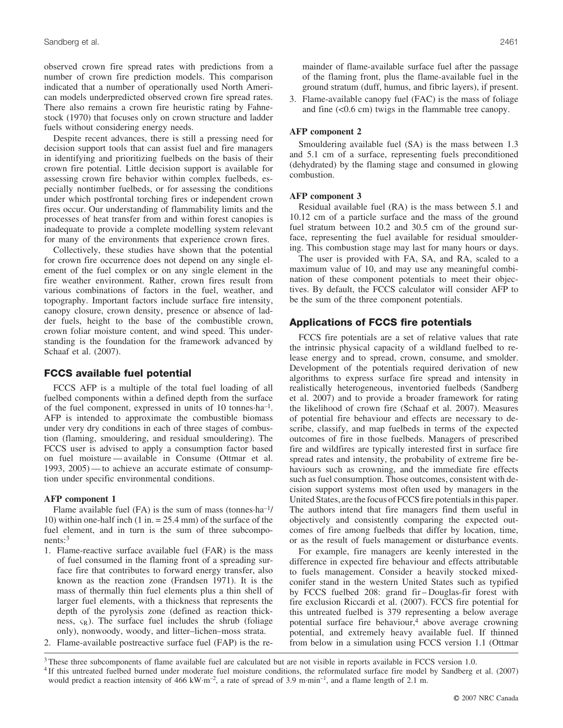observed crown fire spread rates with predictions from a number of crown fire prediction models. This comparison indicated that a number of operationally used North American models underpredicted observed crown fire spread rates. There also remains a crown fire heuristic rating by Fahnestock (1970) that focuses only on crown structure and ladder fuels without considering energy needs.

Despite recent advances, there is still a pressing need for decision support tools that can assist fuel and fire managers in identifying and prioritizing fuelbeds on the basis of their crown fire potential. Little decision support is available for assessing crown fire behavior within complex fuelbeds, especially nontimber fuelbeds, or for assessing the conditions under which postfrontal torching fires or independent crown fires occur. Our understanding of flammability limits and the processes of heat transfer from and within forest canopies is inadequate to provide a complete modelling system relevant for many of the environments that experience crown fires.

Collectively, these studies have shown that the potential for crown fire occurrence does not depend on any single element of the fuel complex or on any single element in the fire weather environment. Rather, crown fires result from various combinations of factors in the fuel, weather, and topography. Important factors include surface fire intensity, canopy closure, crown density, presence or absence of ladder fuels, height to the base of the combustible crown, crown foliar moisture content, and wind speed. This understanding is the foundation for the framework advanced by Schaaf et al. (2007).

## **FCCS available fuel potential**

FCCS AFP is a multiple of the total fuel loading of all fuelbed components within a defined depth from the surface of the fuel component, expressed in units of 10 tonnesha–1. AFP is intended to approximate the combustible biomass under very dry conditions in each of three stages of combustion (flaming, smouldering, and residual smouldering). The FCCS user is advised to apply a consumption factor based on fuel moisture — available in Consume (Ottmar et al. 1993, 2005) — to achieve an accurate estimate of consumption under specific environmental conditions.

#### **AFP component 1**

Flame available fuel  $(FA)$  is the sum of mass (tonnes $\cdot$ ha<sup>-1</sup>/ 10) within one-half inch (1 in. = 25.4 mm) of the surface of the fuel element, and in turn is the sum of three subcomponents:3

- 1. Flame-reactive surface available fuel (FAR) is the mass of fuel consumed in the flaming front of a spreading surface fire that contributes to forward energy transfer, also known as the reaction zone (Frandsen 1971). It is the mass of thermally thin fuel elements plus a thin shell of larger fuel elements, with a thickness that represents the depth of the pyrolysis zone (defined as reaction thickness,  $\zeta_R$ ). The surface fuel includes the shrub (foliage only), nonwoody, woody, and litter–lichen–moss strata.
- 2. Flame-available postreactive surface fuel (FAP) is the re-

mainder of flame-available surface fuel after the passage of the flaming front, plus the flame-available fuel in the ground stratum (duff, humus, and fibric layers), if present.

3. Flame-available canopy fuel (FAC) is the mass of foliage and fine (<0.6 cm) twigs in the flammable tree canopy.

#### **AFP component 2**

Smouldering available fuel (SA) is the mass between 1.3 and 5.1 cm of a surface, representing fuels preconditioned (dehydrated) by the flaming stage and consumed in glowing combustion.

#### **AFP component 3**

Residual available fuel (RA) is the mass between 5.1 and 10.12 cm of a particle surface and the mass of the ground fuel stratum between 10.2 and 30.5 cm of the ground surface, representing the fuel available for residual smouldering. This combustion stage may last for many hours or days.

The user is provided with FA, SA, and RA, scaled to a maximum value of 10, and may use any meaningful combination of these component potentials to meet their objectives. By default, the FCCS calculator will consider AFP to be the sum of the three component potentials.

## **Applications of FCCS fire potentials**

FCCS fire potentials are a set of relative values that rate the intrinsic physical capacity of a wildland fuelbed to release energy and to spread, crown, consume, and smolder. Development of the potentials required derivation of new algorithms to express surface fire spread and intensity in realistically heterogeneous, inventoried fuelbeds (Sandberg et al. 2007) and to provide a broader framework for rating the likelihood of crown fire (Schaaf et al. 2007). Measures of potential fire behaviour and effects are necessary to describe, classify, and map fuelbeds in terms of the expected outcomes of fire in those fuelbeds. Managers of prescribed fire and wildfires are typically interested first in surface fire spread rates and intensity, the probability of extreme fire behaviours such as crowning, and the immediate fire effects such as fuel consumption. Those outcomes, consistent with decision support systems most often used by managers in the United States, are the focus of FCCS fire potentials in this paper. The authors intend that fire managers find them useful in objectively and consistently comparing the expected outcomes of fire among fuelbeds that differ by location, time, or as the result of fuels management or disturbance events.

For example, fire managers are keenly interested in the difference in expected fire behaviour and effects attributable to fuels management. Consider a heavily stocked mixedconifer stand in the western United States such as typified by FCCS fuelbed 208: grand fir – Douglas-fir forest with fire exclusion Riccardi et al. (2007). FCCS fire potential for this untreated fuelbed is 379 representing a below average potential surface fire behaviour,<sup>4</sup> above average crowning potential, and extremely heavy available fuel. If thinned from below in a simulation using FCCS version 1.1 (Ottmar

<sup>3</sup> These three subcomponents of flame available fuel are calculated but are not visible in reports available in FCCS version 1.0. <sup>4</sup> If this untreated fuelbed burned under moderate fuel moisture conditions, the reformulated surface fire model by Sandberg et al. (2007) would predict a reaction intensity of 466 kW·m<sup>-2</sup>, a rate of spread of 3.9 m·min<sup>-1</sup>, and a flame length of 2.1 m.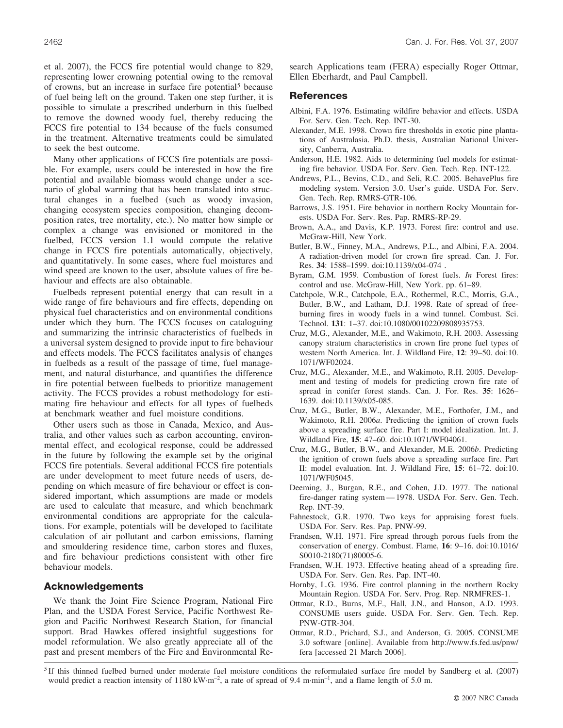et al. 2007), the FCCS fire potential would change to 829, representing lower crowning potential owing to the removal of crowns, but an increase in surface fire potential5 because of fuel being left on the ground. Taken one step further, it is possible to simulate a prescribed underburn in this fuelbed to remove the downed woody fuel, thereby reducing the FCCS fire potential to 134 because of the fuels consumed in the treatment. Alternative treatments could be simulated to seek the best outcome.

Many other applications of FCCS fire potentials are possible. For example, users could be interested in how the fire potential and available biomass would change under a scenario of global warming that has been translated into structural changes in a fuelbed (such as woody invasion, changing ecosystem species composition, changing decomposition rates, tree mortality, etc.). No matter how simple or complex a change was envisioned or monitored in the fuelbed, FCCS version 1.1 would compute the relative change in FCCS fire potentials automatically, objectively, and quantitatively. In some cases, where fuel moistures and wind speed are known to the user, absolute values of fire behaviour and effects are also obtainable.

Fuelbeds represent potential energy that can result in a wide range of fire behaviours and fire effects, depending on physical fuel characteristics and on environmental conditions under which they burn. The FCCS focuses on cataloguing and summarizing the intrinsic characteristics of fuelbeds in a universal system designed to provide input to fire behaviour and effects models. The FCCS facilitates analysis of changes in fuelbeds as a result of the passage of time, fuel management, and natural disturbance, and quantifies the difference in fire potential between fuelbeds to prioritize management activity. The FCCS provides a robust methodology for estimating fire behaviour and effects for all types of fuelbeds at benchmark weather and fuel moisture conditions.

Other users such as those in Canada, Mexico, and Australia, and other values such as carbon accounting, environmental effect, and ecological response, could be addressed in the future by following the example set by the original FCCS fire potentials. Several additional FCCS fire potentials are under development to meet future needs of users, depending on which measure of fire behaviour or effect is considered important, which assumptions are made or models are used to calculate that measure, and which benchmark environmental conditions are appropriate for the calculations. For example, potentials will be developed to facilitate calculation of air pollutant and carbon emissions, flaming and smouldering residence time, carbon stores and fluxes, and fire behaviour predictions consistent with other fire behaviour models.

## **Acknowledgements**

We thank the Joint Fire Science Program, National Fire Plan, and the USDA Forest Service, Pacific Northwest Region and Pacific Northwest Research Station, for financial support. Brad Hawkes offered insightful suggestions for model reformulation. We also greatly appreciate all of the past and present members of the Fire and Environmental Research Applications team (FERA) especially Roger Ottmar, Ellen Eberhardt, and Paul Campbell.

### **References**

- Albini, F.A. 1976. Estimating wildfire behavior and effects. USDA For. Serv. Gen. Tech. Rep. INT-30.
- Alexander, M.E. 1998. Crown fire thresholds in exotic pine plantations of Australasia. Ph.D. thesis, Australian National University, Canberra, Australia.
- Anderson, H.E. 1982. Aids to determining fuel models for estimating fire behavior. USDA For. Serv. Gen. Tech. Rep. INT-122.
- Andrews, P.L., Bevins, C.D., and Seli, R.C. 2005. BehavePlus fire modeling system. Version 3.0. User's guide. USDA For. Serv. Gen. Tech. Rep. RMRS-GTR-106.
- Barrows, J.S. 1951. Fire behavior in northern Rocky Mountain forests. USDA For. Serv. Res. Pap. RMRS-RP-29.
- Brown, A.A., and Davis, K.P. 1973. Forest fire: control and use. McGraw-Hill, New York.
- Butler, B.W., Finney, M.A., Andrews, P.L., and Albini, F.A. 2004. A radiation-driven model for crown fire spread. Can. J. For. Res. **34**: 1588–1599. doi:10.1139/x04-074 .
- Byram, G.M. 1959. Combustion of forest fuels. *In* Forest fires: control and use. McGraw-Hill, New York. pp. 61–89.
- Catchpole, W.R., Catchpole, E.A., Rothermel, R.C., Morris, G.A., Butler, B.W., and Latham, D.J. 1998. Rate of spread of freeburning fires in woody fuels in a wind tunnel. Combust. Sci. Technol. **131**: 1–37. doi:10.1080/00102209808935753.
- Cruz, M.G., Alexander, M.E., and Wakimoto, R.H. 2003. Assessing canopy stratum characteristics in crown fire prone fuel types of western North America. Int. J. Wildland Fire, **12**: 39–50. doi:10. 1071/WF02024.
- Cruz, M.G., Alexander, M.E., and Wakimoto, R.H. 2005. Development and testing of models for predicting crown fire rate of spread in conifer forest stands. Can. J. For. Res. **35**: 1626– 1639. doi:10.1139/x05-085.
- Cruz, M.G., Butler, B.W., Alexander, M.E., Forthofer, J.M., and Wakimoto, R.H. 2006*a*. Predicting the ignition of crown fuels above a spreading surface fire. Part I: model idealization. Int. J. Wildland Fire, **15**: 47–60. doi:10.1071/WF04061.
- Cruz, M.G., Butler, B.W., and Alexander, M.E. 2006*b*. Predicting the ignition of crown fuels above a spreading surface fire. Part II: model evaluation. Int. J. Wildland Fire, **15**: 61–72. doi:10. 1071/WF05045.
- Deeming, J., Burgan, R.E., and Cohen, J.D. 1977. The national fire-danger rating system — 1978. USDA For. Serv. Gen. Tech. Rep. INT-39.
- Fahnestock, G.R. 1970. Two keys for appraising forest fuels. USDA For. Serv. Res. Pap. PNW-99.
- Frandsen, W.H. 1971. Fire spread through porous fuels from the conservation of energy. Combust. Flame, **16**: 9–16. doi:10.1016/ S0010-2180(71)80005-6.
- Frandsen, W.H. 1973. Effective heating ahead of a spreading fire. USDA For. Serv. Gen. Res. Pap. INT-40.
- Hornby, L.G. 1936. Fire control planning in the northern Rocky Mountain Region. USDA For. Serv. Prog. Rep. NRMFRES-1.
- Ottmar, R.D., Burns, M.F., Hall, J.N., and Hanson, A.D. 1993. CONSUME users guide. USDA For. Serv. Gen. Tech. Rep. PNW-GTR-304.
- Ottmar, R.D., Prichard, S.J., and Anderson, G. 2005. CONSUME 3.0 software [online]. Available from http://www.fs.fed.us/pnw/ fera [accessed 21 March 2006].

 $5$  If this thinned fuelbed burned under moderate fuel moisture conditions the reformulated surface fire model by Sandberg et al. (2007) would predict a reaction intensity of 1180 kW·m<sup>-2</sup>, a rate of spread of 9.4 m·min<sup>-1</sup>, and a flame length of 5.0 m.